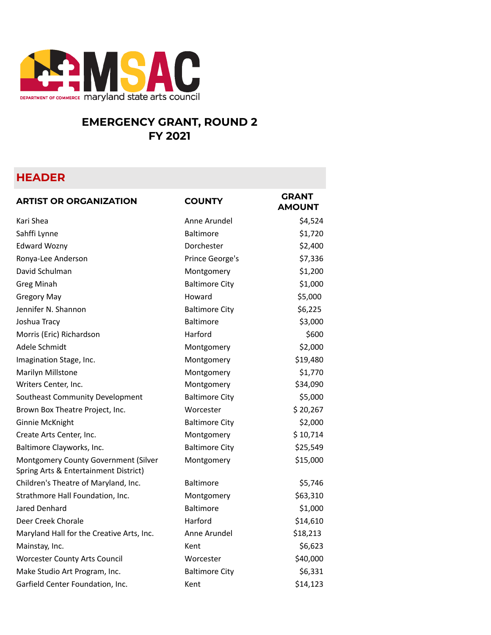

## **EMERGENCY GRANT, ROUND 2 FY 2021**

## **HEADER**

| <b>ARTIST OR ORGANIZATION</b>                                                 | <b>COUNTY</b>         | GRANT<br><b>AMOUNT</b> |
|-------------------------------------------------------------------------------|-----------------------|------------------------|
| Kari Shea                                                                     | Anne Arundel          | \$4,524                |
| Sahffi Lynne                                                                  | <b>Baltimore</b>      | \$1,720                |
| <b>Edward Wozny</b>                                                           | Dorchester            | \$2,400                |
| Ronya-Lee Anderson                                                            | Prince George's       | \$7,336                |
| David Schulman                                                                | Montgomery            | \$1,200                |
| <b>Greg Minah</b>                                                             | <b>Baltimore City</b> | \$1,000                |
| <b>Gregory May</b>                                                            | Howard                | \$5,000                |
| Jennifer N. Shannon                                                           | <b>Baltimore City</b> | \$6,225                |
| Joshua Tracy                                                                  | <b>Baltimore</b>      | \$3,000                |
| Morris (Eric) Richardson                                                      | Harford               | \$600                  |
| Adele Schmidt                                                                 | Montgomery            | \$2,000                |
| Imagination Stage, Inc.                                                       | Montgomery            | \$19,480               |
| Marilyn Millstone                                                             | Montgomery            | \$1,770                |
| Writers Center, Inc.                                                          | Montgomery            | \$34,090               |
| Southeast Community Development                                               | <b>Baltimore City</b> | \$5,000                |
| Brown Box Theatre Project, Inc.                                               | Worcester             | \$20,267               |
| Ginnie McKnight                                                               | <b>Baltimore City</b> | \$2,000                |
| Create Arts Center, Inc.                                                      | Montgomery            | \$10,714               |
| Baltimore Clayworks, Inc.                                                     | <b>Baltimore City</b> | \$25,549               |
| Montgomery County Government (Silver<br>Spring Arts & Entertainment District) | Montgomery            | \$15,000               |
| Children's Theatre of Maryland, Inc.                                          | <b>Baltimore</b>      | \$5,746                |
| Strathmore Hall Foundation, Inc.                                              | Montgomery            | \$63,310               |
| Jared Denhard                                                                 | <b>Baltimore</b>      | \$1,000                |
| Deer Creek Chorale                                                            | Harford               | \$14,610               |
| Maryland Hall for the Creative Arts, Inc.                                     | Anne Arundel          | \$18,213               |
| Mainstay, Inc.                                                                | Kent                  | \$6,623                |
| <b>Worcester County Arts Council</b>                                          | Worcester             | \$40,000               |
| Make Studio Art Program, Inc.                                                 | <b>Baltimore City</b> | \$6,331                |
| Garfield Center Foundation, Inc.                                              | Kent                  | \$14,123               |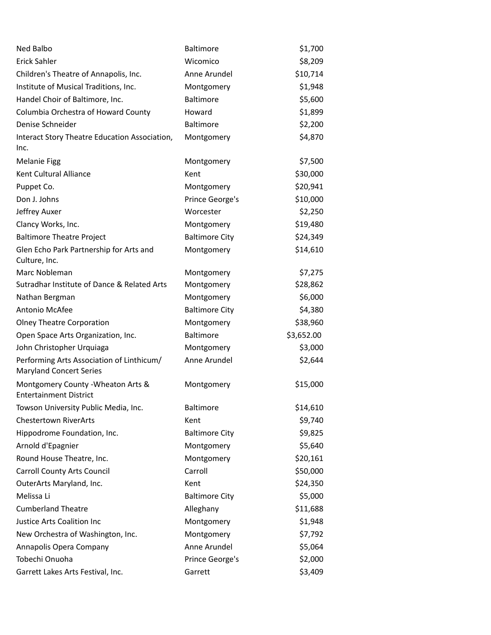| Ned Balbo                                                                   | <b>Baltimore</b>      | \$1,700    |
|-----------------------------------------------------------------------------|-----------------------|------------|
| Erick Sahler                                                                | Wicomico              | \$8,209    |
| Children's Theatre of Annapolis, Inc.                                       | Anne Arundel          | \$10,714   |
| Institute of Musical Traditions, Inc.                                       | Montgomery            | \$1,948    |
| Handel Choir of Baltimore, Inc.                                             | <b>Baltimore</b>      | \$5,600    |
| Columbia Orchestra of Howard County                                         | Howard                | \$1,899    |
| Denise Schneider                                                            | <b>Baltimore</b>      | \$2,200    |
| Interact Story Theatre Education Association,<br>Inc.                       | Montgomery            | \$4,870    |
| <b>Melanie Figg</b>                                                         | Montgomery            | \$7,500    |
| Kent Cultural Alliance                                                      | Kent                  | \$30,000   |
| Puppet Co.                                                                  | Montgomery            | \$20,941   |
| Don J. Johns                                                                | Prince George's       | \$10,000   |
| Jeffrey Auxer                                                               | Worcester             | \$2,250    |
| Clancy Works, Inc.                                                          | Montgomery            | \$19,480   |
| <b>Baltimore Theatre Project</b>                                            | <b>Baltimore City</b> | \$24,349   |
| Glen Echo Park Partnership for Arts and<br>Culture, Inc.                    | Montgomery            | \$14,610   |
| Marc Nobleman                                                               | Montgomery            | \$7,275    |
| Sutradhar Institute of Dance & Related Arts                                 | Montgomery            | \$28,862   |
| Nathan Bergman                                                              | Montgomery            | \$6,000    |
| Antonio McAfee                                                              | <b>Baltimore City</b> | \$4,380    |
| <b>Olney Theatre Corporation</b>                                            | Montgomery            | \$38,960   |
| Open Space Arts Organization, Inc.                                          | <b>Baltimore</b>      | \$3,652.00 |
| John Christopher Urquiaga                                                   | Montgomery            | \$3,000    |
| Performing Arts Association of Linthicum/<br><b>Maryland Concert Series</b> | Anne Arundel          | \$2,644    |
| Montgomery County - Wheaton Arts &<br><b>Entertainment District</b>         | Montgomery            | \$15,000   |
| Towson University Public Media, Inc.                                        | Baltimore             | \$14,610   |
| <b>Chestertown RiverArts</b>                                                | Kent                  | \$9,740    |
| Hippodrome Foundation, Inc.                                                 | <b>Baltimore City</b> | \$9,825    |
| Arnold d'Epagnier                                                           | Montgomery            | \$5,640    |
| Round House Theatre, Inc.                                                   | Montgomery            | \$20,161   |
| <b>Carroll County Arts Council</b>                                          | Carroll               | \$50,000   |
| OuterArts Maryland, Inc.                                                    | Kent                  | \$24,350   |
| Melissa Li                                                                  | <b>Baltimore City</b> | \$5,000    |
| <b>Cumberland Theatre</b>                                                   | Alleghany             | \$11,688   |
| Justice Arts Coalition Inc                                                  | Montgomery            | \$1,948    |
| New Orchestra of Washington, Inc.                                           | Montgomery            | \$7,792    |
| Annapolis Opera Company                                                     | Anne Arundel          | \$5,064    |
| Tobechi Onuoha                                                              | Prince George's       | \$2,000    |
| Garrett Lakes Arts Festival, Inc.                                           | Garrett               | \$3,409    |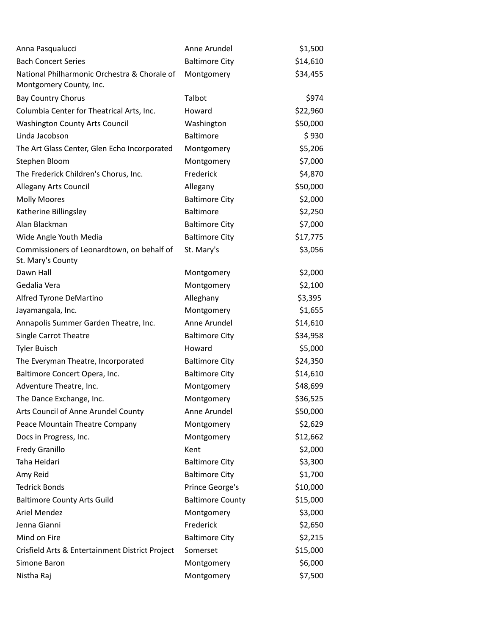| Anna Pasqualucci                                                        | Anne Arundel            | \$1,500  |
|-------------------------------------------------------------------------|-------------------------|----------|
| <b>Bach Concert Series</b>                                              | <b>Baltimore City</b>   | \$14,610 |
| National Philharmonic Orchestra & Chorale of<br>Montgomery County, Inc. | Montgomery              | \$34,455 |
| <b>Bay Country Chorus</b>                                               | Talbot                  | \$974    |
| Columbia Center for Theatrical Arts, Inc.                               | Howard                  | \$22,960 |
| <b>Washington County Arts Council</b>                                   | Washington              | \$50,000 |
| Linda Jacobson                                                          | Baltimore               | \$930    |
| The Art Glass Center, Glen Echo Incorporated                            | Montgomery              | \$5,206  |
| Stephen Bloom                                                           | Montgomery              | \$7,000  |
| The Frederick Children's Chorus, Inc.                                   | Frederick               | \$4,870  |
| Allegany Arts Council                                                   | Allegany                | \$50,000 |
| <b>Molly Moores</b>                                                     | <b>Baltimore City</b>   | \$2,000  |
| Katherine Billingsley                                                   | <b>Baltimore</b>        | \$2,250  |
| Alan Blackman                                                           | <b>Baltimore City</b>   | \$7,000  |
| Wide Angle Youth Media                                                  | <b>Baltimore City</b>   | \$17,775 |
| Commissioners of Leonardtown, on behalf of<br>St. Mary's County         | St. Mary's              | \$3,056  |
| Dawn Hall                                                               | Montgomery              | \$2,000  |
| Gedalia Vera                                                            | Montgomery              | \$2,100  |
| Alfred Tyrone DeMartino                                                 | Alleghany               | \$3,395  |
| Jayamangala, Inc.                                                       | Montgomery              | \$1,655  |
| Annapolis Summer Garden Theatre, Inc.                                   | Anne Arundel            | \$14,610 |
| Single Carrot Theatre                                                   | <b>Baltimore City</b>   | \$34,958 |
| <b>Tyler Buisch</b>                                                     | Howard                  | \$5,000  |
| The Everyman Theatre, Incorporated                                      | <b>Baltimore City</b>   | \$24,350 |
| Baltimore Concert Opera, Inc.                                           | <b>Baltimore City</b>   | \$14,610 |
| Adventure Theatre, Inc.                                                 | Montgomery              | \$48,699 |
| The Dance Exchange, Inc.                                                | Montgomery              | \$36,525 |
| Arts Council of Anne Arundel County                                     | Anne Arundel            | \$50,000 |
| Peace Mountain Theatre Company                                          | Montgomery              | \$2,629  |
| Docs in Progress, Inc.                                                  | Montgomery              | \$12,662 |
| <b>Fredy Granillo</b>                                                   | Kent                    | \$2,000  |
| Taha Heidari                                                            | <b>Baltimore City</b>   | \$3,300  |
| Amy Reid                                                                | <b>Baltimore City</b>   | \$1,700  |
| <b>Tedrick Bonds</b>                                                    | Prince George's         | \$10,000 |
| <b>Baltimore County Arts Guild</b>                                      | <b>Baltimore County</b> | \$15,000 |
| Ariel Mendez                                                            | Montgomery              | \$3,000  |
| Jenna Gianni                                                            | Frederick               | \$2,650  |
| Mind on Fire                                                            | <b>Baltimore City</b>   | \$2,215  |
| Crisfield Arts & Entertainment District Project                         | Somerset                | \$15,000 |
| Simone Baron                                                            | Montgomery              | \$6,000  |
| Nistha Raj                                                              | Montgomery              | \$7,500  |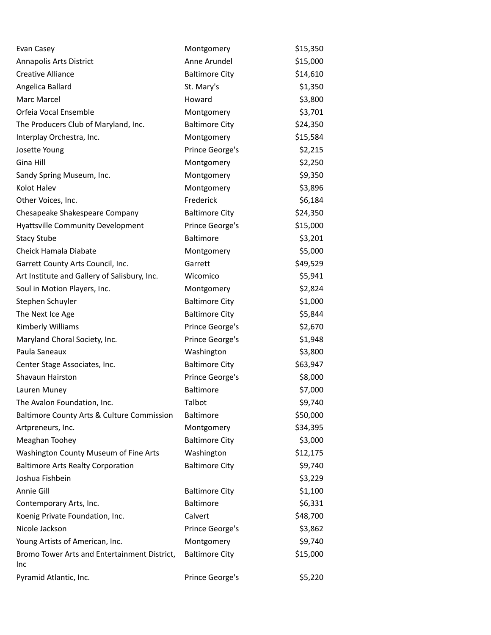| Evan Casey                                          | Montgomery            | \$15,350 |
|-----------------------------------------------------|-----------------------|----------|
| Annapolis Arts District                             | Anne Arundel          | \$15,000 |
| <b>Creative Alliance</b>                            | <b>Baltimore City</b> | \$14,610 |
| Angelica Ballard                                    | St. Mary's            | \$1,350  |
| Marc Marcel                                         | Howard                | \$3,800  |
| Orfeia Vocal Ensemble                               | Montgomery            | \$3,701  |
| The Producers Club of Maryland, Inc.                | <b>Baltimore City</b> | \$24,350 |
| Interplay Orchestra, Inc.                           | Montgomery            | \$15,584 |
| Josette Young                                       | Prince George's       | \$2,215  |
| Gina Hill                                           | Montgomery            | \$2,250  |
| Sandy Spring Museum, Inc.                           | Montgomery            | \$9,350  |
| Kolot Halev                                         | Montgomery            | \$3,896  |
| Other Voices, Inc.                                  | Frederick             | \$6,184  |
| Chesapeake Shakespeare Company                      | <b>Baltimore City</b> | \$24,350 |
| <b>Hyattsville Community Development</b>            | Prince George's       | \$15,000 |
| <b>Stacy Stube</b>                                  | <b>Baltimore</b>      | \$3,201  |
| Cheick Hamala Diabate                               | Montgomery            | \$5,000  |
| Garrett County Arts Council, Inc.                   | Garrett               | \$49,529 |
| Art Institute and Gallery of Salisbury, Inc.        | Wicomico              | \$5,941  |
| Soul in Motion Players, Inc.                        | Montgomery            | \$2,824  |
| Stephen Schuyler                                    | <b>Baltimore City</b> | \$1,000  |
| The Next Ice Age                                    | <b>Baltimore City</b> | \$5,844  |
| Kimberly Williams                                   | Prince George's       | \$2,670  |
| Maryland Choral Society, Inc.                       | Prince George's       | \$1,948  |
| Paula Saneaux                                       | Washington            | \$3,800  |
| Center Stage Associates, Inc.                       | <b>Baltimore City</b> | \$63,947 |
| Shavaun Hairston                                    | Prince George's       | \$8,000  |
| Lauren Muney                                        | <b>Baltimore</b>      | \$7,000  |
| The Avalon Foundation, Inc.                         | Talbot                | \$9,740  |
| Baltimore County Arts & Culture Commission          | <b>Baltimore</b>      | \$50,000 |
| Artpreneurs, Inc.                                   | Montgomery            | \$34,395 |
| Meaghan Toohey                                      | <b>Baltimore City</b> | \$3,000  |
| Washington County Museum of Fine Arts               | Washington            | \$12,175 |
| <b>Baltimore Arts Realty Corporation</b>            | <b>Baltimore City</b> | \$9,740  |
| Joshua Fishbein                                     |                       | \$3,229  |
| Annie Gill                                          | <b>Baltimore City</b> | \$1,100  |
| Contemporary Arts, Inc.                             | <b>Baltimore</b>      | \$6,331  |
| Koenig Private Foundation, Inc.                     | Calvert               | \$48,700 |
| Nicole Jackson                                      | Prince George's       | \$3,862  |
| Young Artists of American, Inc.                     | Montgomery            | \$9,740  |
| Bromo Tower Arts and Entertainment District,<br>Inc | <b>Baltimore City</b> | \$15,000 |
| Pyramid Atlantic, Inc.                              | Prince George's       | \$5,220  |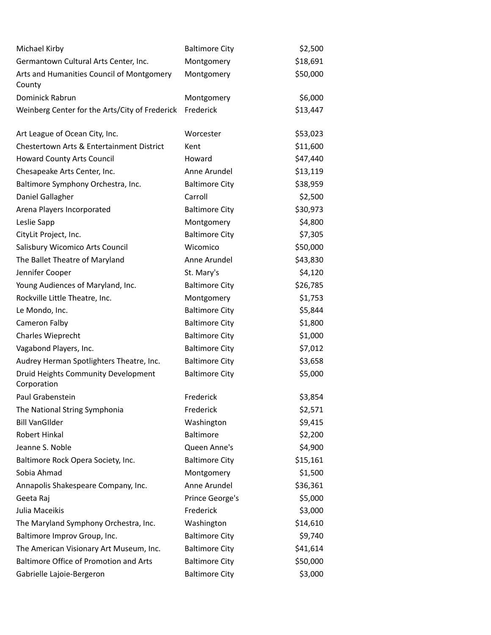| Michael Kirby                                       | <b>Baltimore City</b> | \$2,500  |
|-----------------------------------------------------|-----------------------|----------|
| Germantown Cultural Arts Center, Inc.               | Montgomery            | \$18,691 |
| Arts and Humanities Council of Montgomery<br>County | Montgomery            | \$50,000 |
| Dominick Rabrun                                     | Montgomery            | \$6,000  |
| Weinberg Center for the Arts/City of Frederick      | Frederick             | \$13,447 |
|                                                     |                       |          |
| Art League of Ocean City, Inc.                      | Worcester             | \$53,023 |
| Chestertown Arts & Entertainment District           | Kent                  | \$11,600 |
| <b>Howard County Arts Council</b>                   | Howard                | \$47,440 |
| Chesapeake Arts Center, Inc.                        | Anne Arundel          | \$13,119 |
| Baltimore Symphony Orchestra, Inc.                  | <b>Baltimore City</b> | \$38,959 |
| Daniel Gallagher                                    | Carroll               | \$2,500  |
| Arena Players Incorporated                          | <b>Baltimore City</b> | \$30,973 |
| Leslie Sapp                                         | Montgomery            | \$4,800  |
| CityLit Project, Inc.                               | <b>Baltimore City</b> | \$7,305  |
| Salisbury Wicomico Arts Council                     | Wicomico              | \$50,000 |
| The Ballet Theatre of Maryland                      | Anne Arundel          | \$43,830 |
| Jennifer Cooper                                     | St. Mary's            | \$4,120  |
| Young Audiences of Maryland, Inc.                   | <b>Baltimore City</b> | \$26,785 |
| Rockville Little Theatre, Inc.                      | Montgomery            | \$1,753  |
| Le Mondo, Inc.                                      | <b>Baltimore City</b> | \$5,844  |
| Cameron Falby                                       | <b>Baltimore City</b> | \$1,800  |
| Charles Wieprecht                                   | <b>Baltimore City</b> | \$1,000  |
| Vagabond Players, Inc.                              | <b>Baltimore City</b> | \$7,012  |
| Audrey Herman Spotlighters Theatre, Inc.            | <b>Baltimore City</b> | \$3,658  |
| Druid Heights Community Development<br>Corporation  | <b>Baltimore City</b> | \$5,000  |
| Paul Grabenstein                                    | Frederick             | \$3,854  |
| The National String Symphonia                       | Frederick             | \$2,571  |
| <b>Bill VanGIlder</b>                               | Washington            | \$9,415  |
| Robert Hinkal                                       | Baltimore             | \$2,200  |
| Jeanne S. Noble                                     | Queen Anne's          | \$4,900  |
| Baltimore Rock Opera Society, Inc.                  | <b>Baltimore City</b> | \$15,161 |
| Sobia Ahmad                                         | Montgomery            | \$1,500  |
| Annapolis Shakespeare Company, Inc.                 | Anne Arundel          | \$36,361 |
| Geeta Raj                                           | Prince George's       | \$5,000  |
| Julia Maceikis                                      | Frederick             | \$3,000  |
| The Maryland Symphony Orchestra, Inc.               | Washington            | \$14,610 |
| Baltimore Improv Group, Inc.                        | <b>Baltimore City</b> | \$9,740  |
| The American Visionary Art Museum, Inc.             | <b>Baltimore City</b> | \$41,614 |
| <b>Baltimore Office of Promotion and Arts</b>       | <b>Baltimore City</b> | \$50,000 |
| Gabrielle Lajoie-Bergeron                           | <b>Baltimore City</b> | \$3,000  |